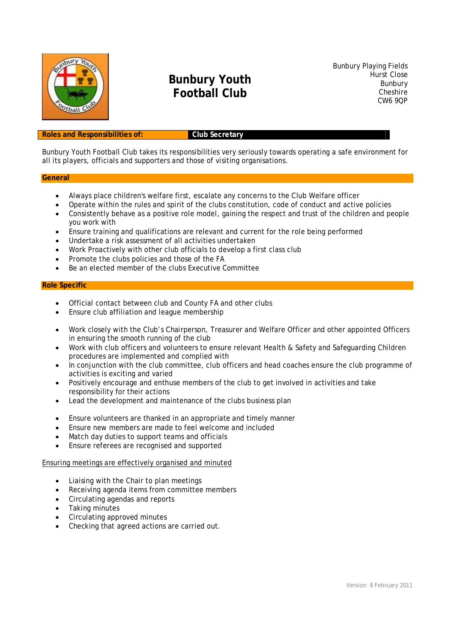

# **Bunbury Youth Football Club**

Bunbury Playing Fields Hurst Close Bunbury **Cheshire** CW6 9QP

#### **Roles and Responsibilities of: Club Secretary**

Bunbury Youth Football Club takes its responsibilities very seriously towards operating a safe environment for all its players, officials and supporters and those of visiting organisations.

#### **General**

- Always place children's welfare first, escalate any concerns to the Club Welfare officer
- Operate within the rules and spirit of the clubs constitution, code of conduct and active policies
- Consistently behave as a positive role model, gaining the respect and trust of the children and people you work with
- Ensure training and qualifications are relevant and current for the role being performed
- Undertake a risk assessment of all activities undertaken
- Work Proactively with other club officials to develop a first class club
- Promote the clubs policies and those of the FA
- Be an elected member of the clubs Executive Committee

#### **Role Specific**

- Official contact between club and County FA and other clubs
- Ensure club affiliation and league membership
- Work closely with the Club's Chairperson, Treasurer and Welfare Officer and other appointed Officers in ensuring the smooth running of the club
- Work with club officers and volunteers to ensure relevant Health & Safety and Safeguarding Children procedures are implemented and complied with
- In conjunction with the club committee, club officers and head coaches ensure the club programme of activities is exciting and varied
- Positively encourage and enthuse members of the club to get involved in activities and take responsibility for their actions
- Lead the development and maintenance of the clubs business plan
- Ensure volunteers are thanked in an appropriate and timely manner
- Ensure new members are made to feel welcome and included
- Match day duties to support teams and officials
- Ensure referees are recognised and supported

#### Ensuring meetings are effectively organised and minuted

- Liaising with the Chair to plan meetings
- Receiving agenda items from committee members
- Circulating agendas and reports
- Taking minutes
- Circulating approved minutes
- Checking that agreed actions are carried out.